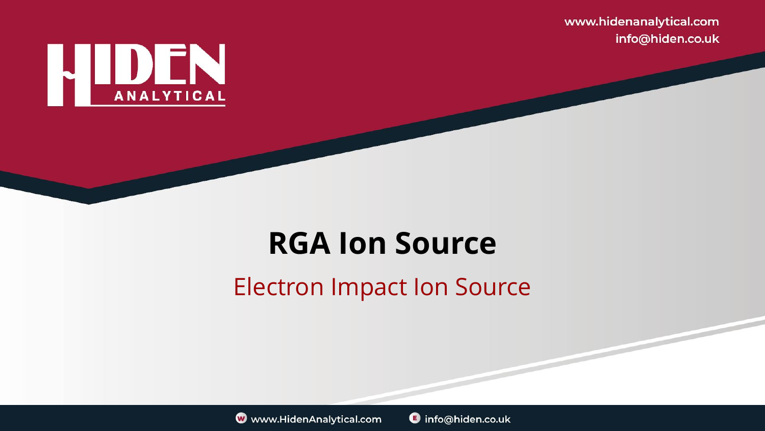www.hidenanalytical.com info@hiden.co.uk



#### **RGA Ion Source**

#### Electron Impact Ion Source



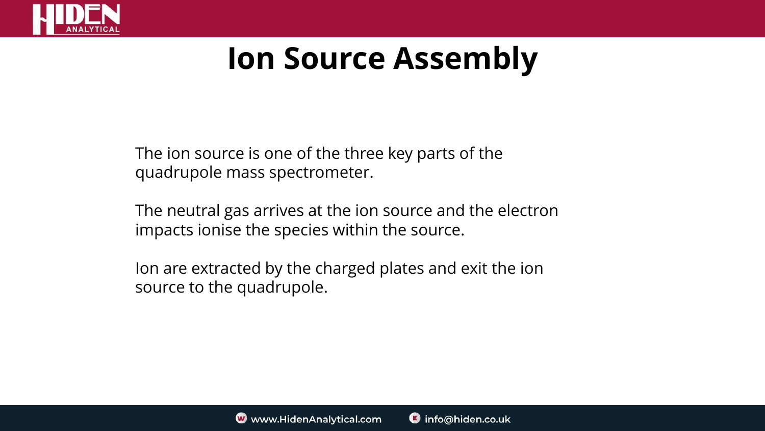

The ion source is one of the three key parts of the quadrupole mass spectrometer.

The neutral gas arrives at the ion source and the electron impacts ionise the species within the source.

Ion are extracted by the charged plates and exit the ion source to the quadrupole.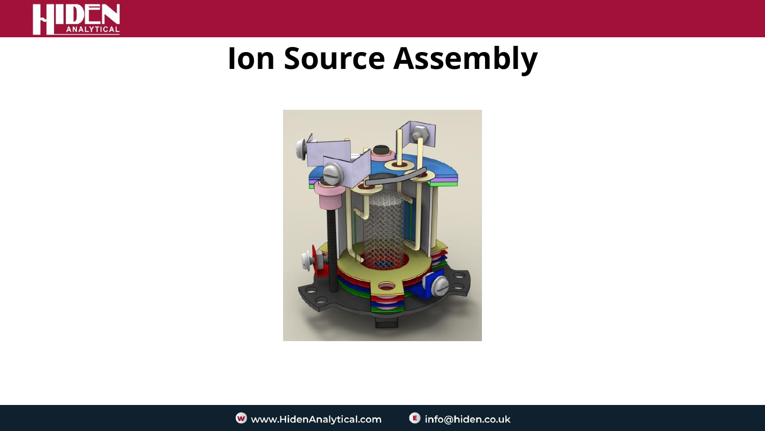

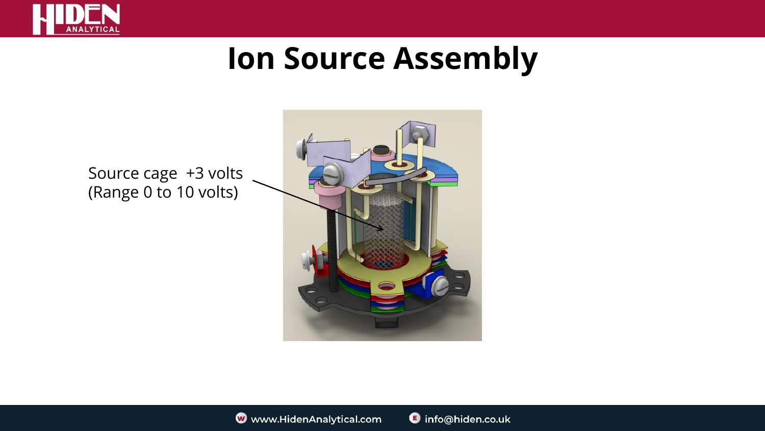

Source cage +3 volts (Range 0 to 10 volts)

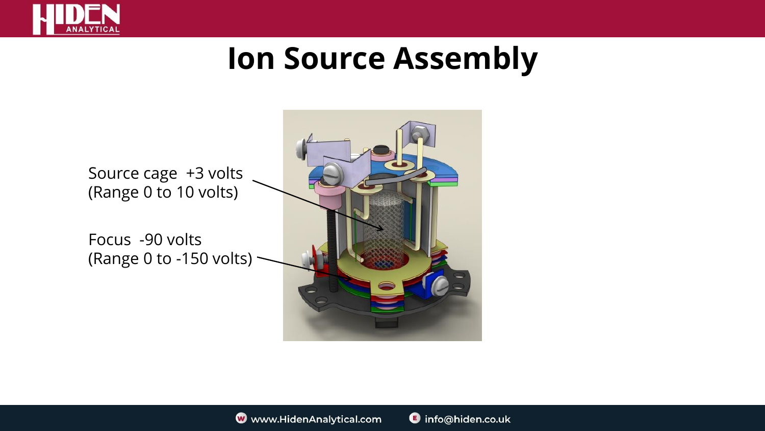

Source cage +3 volts (Range 0 to 10 volts)

Focus -90 volts (Range 0 to -150 volts)

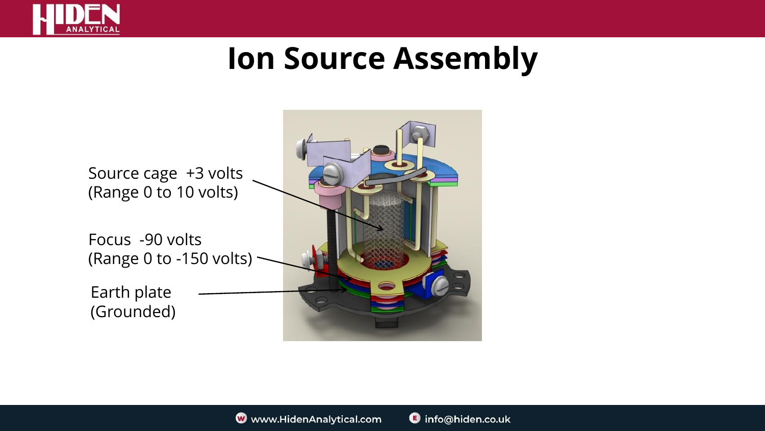

Source cage +3 volts (Range 0 to 10 volts) Focus -90 volts (Range 0 to -150 volts) Earth plate (Grounded)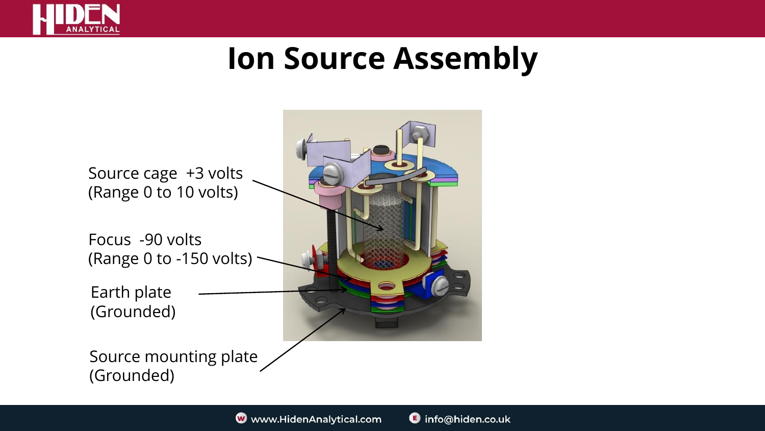

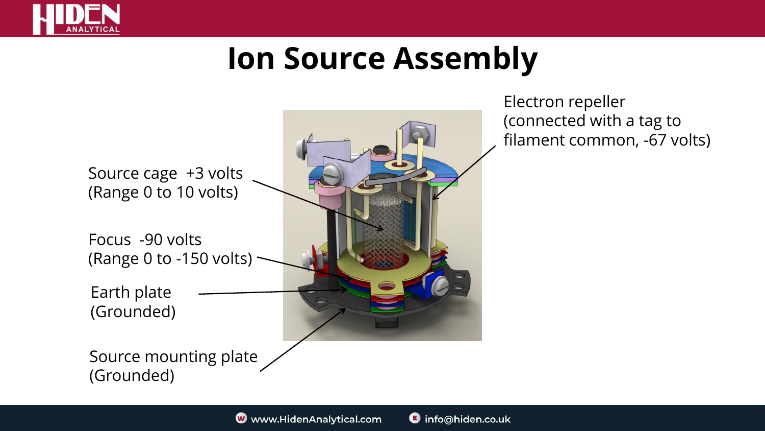



Electron repeller (connected with a tag to filament common, -67 volts)